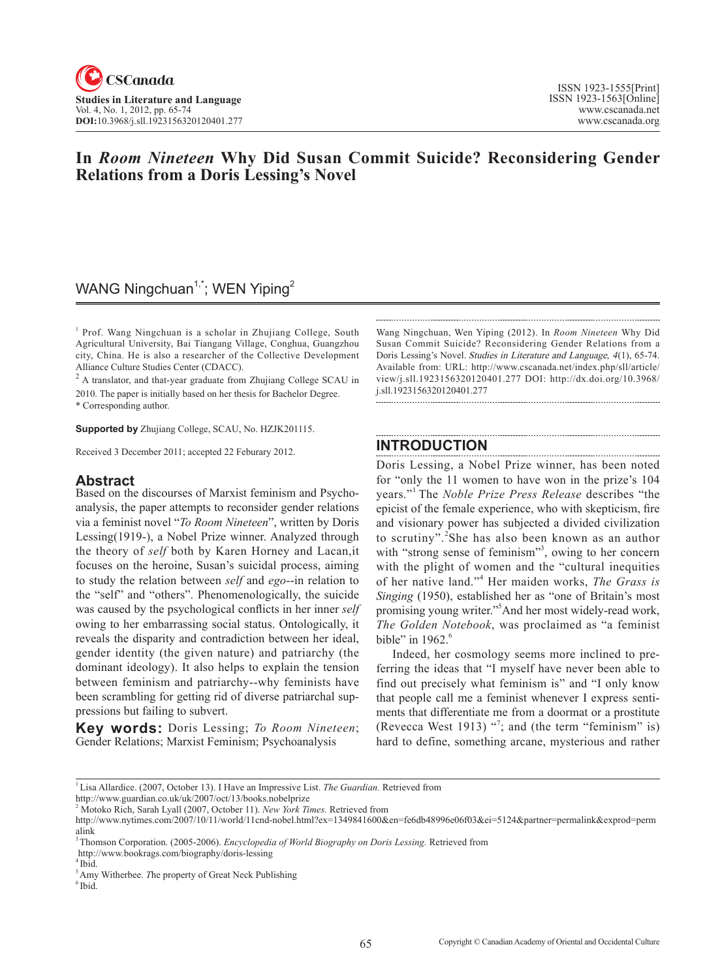

# **In** *Room Nineteen* **Why Did Susan Commit Suicide? Reconsidering Gender Relations from a Doris Lessing's Novel**

# WANG Ningchuan<sup>1,\*</sup>; WEN Yiping<sup>2</sup>

<sup>1</sup> Prof. Wang Ningchuan is a scholar in Zhujiang College, South Agricultural University, Bai Tiangang Village, Conghua, Guangzhou city, China. He is also a researcher of the Collective Development Alliance Culture Studies Center (CDACC).

 $2$  A translator, and that-year graduate from Zhujiang College SCAU in 2010. The paper is initially based on her thesis for Bachelor Degree. \* Corresponding author.

**Supported by** Zhujiang College, SCAU, No. HZJK201115.

Received 3 December 2011; accepted 22 Feburary 2012.

#### **Abstract**

Based on the discourses of Marxist feminism and Psychoanalysis, the paper attempts to reconsider gender relations via a feminist novel "*To Room Nineteen*", written by Doris Lessing(1919-), a Nobel Prize winner. Analyzed through the theory of *self* both by Karen Horney and Lacan,it focuses on the heroine, Susan's suicidal process, aiming to study the relation between *self* and *ego*--in relation to the "self" and "others". Phenomenologically, the suicide was caused by the psychological conflicts in her inner *self* owing to her embarrassing social status. Ontologically, it reveals the disparity and contradiction between her ideal, gender identity (the given nature) and patriarchy (the dominant ideology). It also helps to explain the tension between feminism and patriarchy--why feminists have been scrambling for getting rid of diverse patriarchal suppressions but failing to subvert.

**Key words:** Doris Lessing; *To Room Nineteen*; Gender Relations; Marxist Feminism; Psychoanalysis

Wang Ningchuan, Wen Yiping (2012). In *Room Nineteen* Why Did Susan Commit Suicide? Reconsidering Gender Relations from a Doris Lessing's Novel. Studies in Literature and Language, 4(1), 65-74. Available from: URL: http://www.cscanada.net/index.php/sll/article/ view/j.sll.1923156320120401.277 DOI: http://dx.doi.org/10.3968/ j.sll.1923156320120401.277

#### **INTRODUCTION**

Doris Lessing, a Nobel Prize winner, has been noted for "only the 11 women to have won in the prize's 104 years."1 The *Noble Prize Press Release* describes "the epicist of the female experience, who with skepticism, fire and visionary power has subjected a divided civilization to scrutiny".<sup>2</sup>She has also been known as an author with "strong sense of feminism"<sup>3</sup>, owing to her concern with the plight of women and the "cultural inequities of her native land."<sup>4</sup> Her maiden works, *The Grass is Singing* (1950), established her as "one of Britain's most promising young writer."5 And her most widely-read work, *The Golden Notebook*, was proclaimed as "a feminist bible" in  $1962<sup>6</sup>$ 

Indeed, her cosmology seems more inclined to preferring the ideas that "I myself have never been able to find out precisely what feminism is" and "I only know that people call me a feminist whenever I express sentiments that differentiate me from a doormat or a prostitute (Revecca West 1913)  $\cdot$ <sup>7</sup>; and (the term "feminism" is) hard to define, something arcane, mysterious and rather

<sup>&</sup>lt;sup>1</sup> Lisa Allardice. (2007, October 13). I Have an Impressive List. The Guardian. Retrieved from

http://www.guardian.co.uk/uk/2007/oct/13/books.nobelprize

<sup>2</sup> Motoko Rich, Sarah Lyall (2007, October 11). *New York Times.* Retrieved from

http://www.nytimes.com/2007/10/11/world/11cnd-nobel.html?ex=1349841600&en=fe6db48996e06f03&ei=5124&partner=permalink&exprod=perm alink

<sup>3</sup> Thomson Corporation. (2005-2006). *Encyclopedia of World Biography on Doris Lessing.* Retrieved from

http://www.bookrags.com/biography/doris-lessing

<sup>4</sup> Ibid.

<sup>&</sup>lt;sup>5</sup> Amy Witherbee. *The property of Great Neck Publishing* <sup>6</sup> Ibid.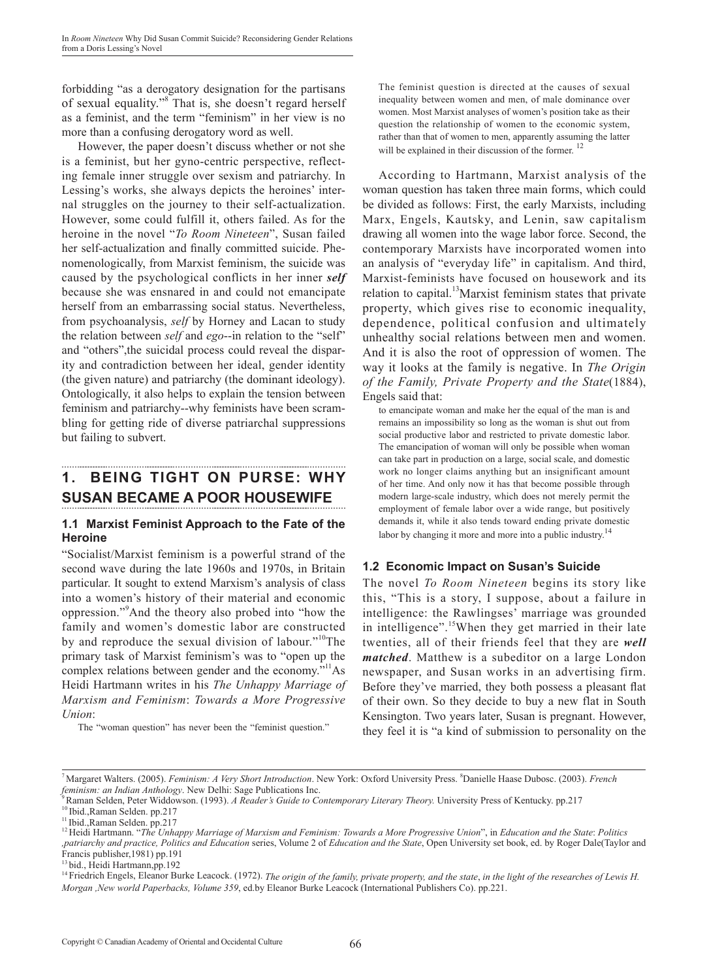forbidding "as a derogatory designation for the partisans of sexual equality."<sup>8</sup> That is, she doesn't regard herself as a feminist, and the term "feminism" in her view is no more than a confusing derogatory word as well.

However, the paper doesn't discuss whether or not she is a feminist, but her gyno-centric perspective, reflecting female inner struggle over sexism and patriarchy. In Lessing's works, she always depicts the heroines' internal struggles on the journey to their self-actualization. However, some could fulfill it, others failed. As for the heroine in the novel "*To Room Nineteen*", Susan failed her self-actualization and finally committed suicide. Phenomenologically, from Marxist feminism, the suicide was caused by the psychological conflicts in her inner *self* because she was ensnared in and could not emancipate herself from an embarrassing social status. Nevertheless, from psychoanalysis, *self* by Horney and Lacan to study the relation between *self* and *ego*--in relation to the "self" and "others",the suicidal process could reveal the disparity and contradiction between her ideal, gender identity (the given nature) and patriarchy (the dominant ideology). Ontologically, it also helps to explain the tension between feminism and patriarchy--why feminists have been scrambling for getting ride of diverse patriarchal suppressions but failing to subvert.

# **1. BEING TIGHT ON PURSE: WHY SUSAN BECAME A POOR HOUSEWIFE**

#### **1.1 Marxist Feminist Approach to the Fate of the Heroine**

"Socialist/Marxist feminism is a powerful strand of the second wave during the late 1960s and 1970s, in Britain particular. It sought to extend Marxism's analysis of class into a women's history of their material and economic oppression."<sup>9</sup> And the theory also probed into "how the family and women's domestic labor are constructed by and reproduce the sexual division of labour."<sup>10</sup>The primary task of Marxist feminism's was to "open up the complex relations between gender and the economy."<sup>11</sup>As Heidi Hartmann writes in his *The Unhappy Marriage of Marxism and Feminism*: *Towards a More Progressive Union*:

The "woman question" has never been the "feminist question."

The feminist question is directed at the causes of sexual inequality between women and men, of male dominance over women. Most Marxist analyses of women's position take as their question the relationship of women to the economic system, rather than that of women to men, apparently assuming the latter will be explained in their discussion of the former.<sup>12</sup>

According to Hartmann, Marxist analysis of the woman question has taken three main forms, which could be divided as follows: First, the early Marxists, including Marx, Engels, Kautsky, and Lenin, saw capitalism drawing all women into the wage labor force. Second, the contemporary Marxists have incorporated women into an analysis of "everyday life" in capitalism. And third, Marxist-feminists have focused on housework and its relation to capital.<sup>13</sup>Marxist feminism states that private property, which gives rise to economic inequality, dependence, political confusion and ultimately unhealthy social relations between men and women. And it is also the root of oppression of women. The way it looks at the family is negative. In *The Origin of the Family, Private Property and the State*(1884), Engels said that:

to emancipate woman and make her the equal of the man is and remains an impossibility so long as the woman is shut out from social productive labor and restricted to private domestic labor. The emancipation of woman will only be possible when woman can take part in production on a large, social scale, and domestic work no longer claims anything but an insignificant amount of her time. And only now it has that become possible through modern large-scale industry, which does not merely permit the employment of female labor over a wide range, but positively demands it, while it also tends toward ending private domestic labor by changing it more and more into a public industry.<sup>14</sup>

### **1.2 Economic Impact on Susan's Suicide**

The novel *To Room Nineteen* begins its story like this, "This is a story, I suppose, about a failure in intelligence: the Rawlingses' marriage was grounded in intelligence".<sup>15</sup>When they get married in their late twenties, all of their friends feel that they are *well matched*. Matthew is a subeditor on a large London newspaper, and Susan works in an advertising firm. Before they've married, they both possess a pleasant flat of their own. So they decide to buy a new flat in South Kensington. Two years later, Susan is pregnant. However, they feel it is "a kind of submission to personality on the

<sup>7</sup> Margaret Walters. (2005). *Feminism: A Very Short Introduction*. New York: Oxford University Press. <sup>8</sup> Danielle Haase Dubosc. (2003). *French* 

*feminism: an Indian Anthology.* New Delhi: Sage Publications Inc.<br><sup>9</sup> Raman Selden, Peter Widdowson. (1993). *A Reader's Guide to Contemporary Literary Theory.* University Press of Kentucky. pp.217<br><sup>10</sup> Ibid.,Raman Selden

*<sup>,</sup>patriarchy and practice, Politics and Education* series, Volume 2 of *Education and the State*, Open University set book, ed. by Roger Dale(Taylor and Francis publisher,1981) pp.191

<sup>13</sup> bid., Heidi Hartmann,pp.192

<sup>&</sup>lt;sup>14</sup> Friedrich Engels, Eleanor Burke Leacock. (1972). *The origin of the family, private property, and the state, in the light of the researches of Lewis H. Morgan ,New world Paperbacks, Volume 359*, ed.by Eleanor Burke Leacock (International Publishers Co). pp.221.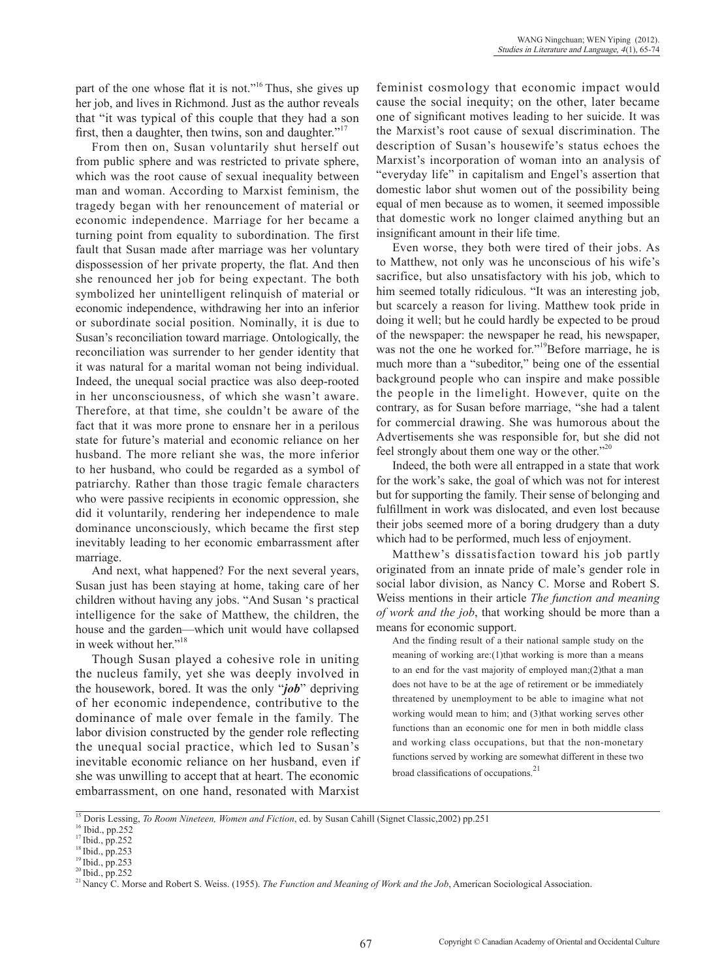part of the one whose flat it is not."<sup>16</sup> Thus, she gives up her job, and lives in Richmond. Just as the author reveals that "it was typical of this couple that they had a son first, then a daughter, then twins, son and daughter."

From then on, Susan voluntarily shut herself out from public sphere and was restricted to private sphere, which was the root cause of sexual inequality between man and woman. According to Marxist feminism, the tragedy began with her renouncement of material or economic independence. Marriage for her became a turning point from equality to subordination. The first fault that Susan made after marriage was her voluntary dispossession of her private property, the flat. And then she renounced her job for being expectant. The both symbolized her unintelligent relinquish of material or economic independence, withdrawing her into an inferior or subordinate social position. Nominally, it is due to Susan's reconciliation toward marriage. Ontologically, the reconciliation was surrender to her gender identity that it was natural for a marital woman not being individual. Indeed, the unequal social practice was also deep-rooted in her unconsciousness, of which she wasn't aware. Therefore, at that time, she couldn't be aware of the fact that it was more prone to ensnare her in a perilous state for future's material and economic reliance on her husband. The more reliant she was, the more inferior to her husband, who could be regarded as a symbol of patriarchy. Rather than those tragic female characters who were passive recipients in economic oppression, she did it voluntarily, rendering her independence to male dominance unconsciously, which became the first step inevitably leading to her economic embarrassment after marriage.

And next, what happened? For the next several years, Susan just has been staying at home, taking care of her children without having any jobs. "And Susan 's practical intelligence for the sake of Matthew, the children, the house and the garden—which unit would have collapsed in week without her."<sup>18</sup>

Though Susan played a cohesive role in uniting the nucleus family, yet she was deeply involved in the housework, bored. It was the only "*job*" depriving of her economic independence, contributive to the dominance of male over female in the family. The labor division constructed by the gender role reflecting the unequal social practice, which led to Susan's inevitable economic reliance on her husband, even if she was unwilling to accept that at heart. The economic embarrassment, on one hand, resonated with Marxist feminist cosmology that economic impact would cause the social inequity; on the other, later became one of significant motives leading to her suicide. It was the Marxist's root cause of sexual discrimination. The description of Susan's housewife's status echoes the Marxist's incorporation of woman into an analysis of "everyday life" in capitalism and Engel's assertion that domestic labor shut women out of the possibility being equal of men because as to women, it seemed impossible that domestic work no longer claimed anything but an insignificant amount in their life time.

Even worse, they both were tired of their jobs. As to Matthew, not only was he unconscious of his wife's sacrifice, but also unsatisfactory with his job, which to him seemed totally ridiculous. "It was an interesting job, but scarcely a reason for living. Matthew took pride in doing it well; but he could hardly be expected to be proud of the newspaper: the newspaper he read, his newspaper, was not the one he worked for."<sup>19</sup>Before marriage, he is much more than a "subeditor," being one of the essential background people who can inspire and make possible the people in the limelight. However, quite on the contrary, as for Susan before marriage, "she had a talent for commercial drawing. She was humorous about the Advertisements she was responsible for, but she did not feel strongly about them one way or the other."<sup>20</sup>

Indeed, the both were all entrapped in a state that work for the work's sake, the goal of which was not for interest but for supporting the family. Their sense of belonging and fulfillment in work was dislocated, and even lost because their jobs seemed more of a boring drudgery than a duty which had to be performed, much less of enjoyment.

Matthew's dissatisfaction toward his job partly originated from an innate pride of male's gender role in social labor division, as Nancy C. Morse and Robert S. Weiss mentions in their article *The function and meaning of work and the job*, that working should be more than a means for economic support.

And the finding result of a their national sample study on the meaning of working are:(1)that working is more than a means to an end for the vast majority of employed man;(2)that a man does not have to be at the age of retirement or be immediately threatened by unemployment to be able to imagine what not working would mean to him; and (3)that working serves other functions than an economic one for men in both middle class and working class occupations, but that the non-monetary functions served by working are somewhat different in these two broad classifications of occupations. $21$ 

<sup>&</sup>lt;sup>15</sup> Doris Lessing, *To Room Nineteen, Women and Fiction*, ed. by Susan Cahill (Signet Classic,2002) pp.251<sup>16</sup> Ibid., pp.252<sup>17</sup> Ibid., pp.252

<sup>18</sup> Ibid., pp.253<br><sup>19</sup> Ibid., pp.253<br><sup>20</sup> Ibid., pp.252<br><sup>21</sup> Nancy C. Morse and Robert S. Weiss. (1955). *The Function and Meaning of Work and the Job*, American Sociological Association.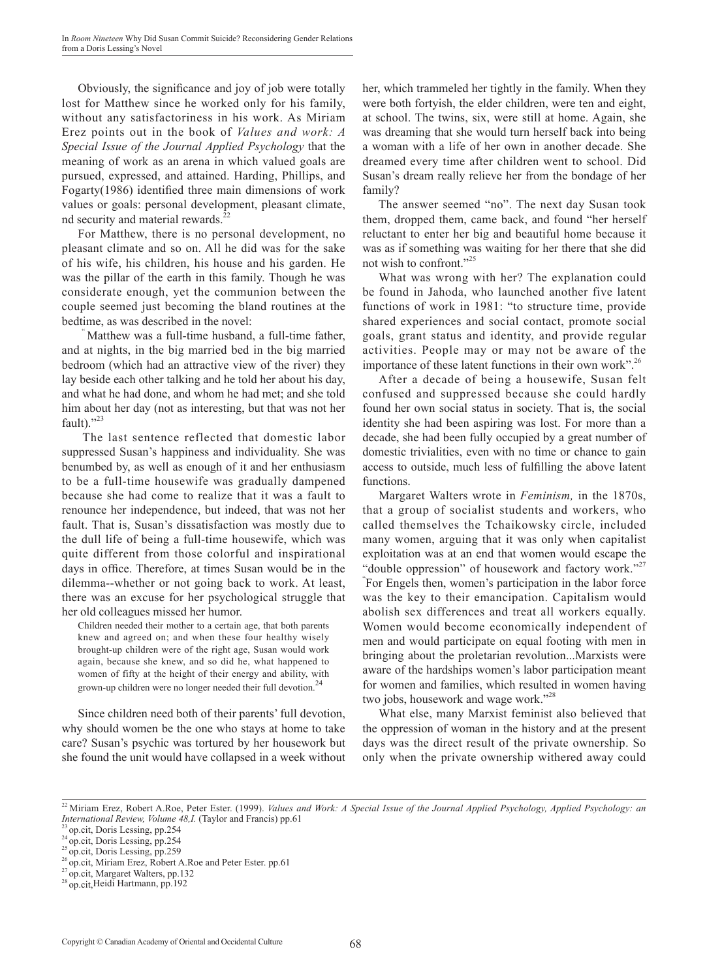Obviously, the significance and joy of job were totally lost for Matthew since he worked only for his family, without any satisfactoriness in his work. As Miriam Erez points out in the book of *Values and work: A Special Issue of the Journal Applied Psychology* that the meaning of work as an arena in which valued goals are pursued, expressed, and attained. Harding, Phillips, and Fogarty $(1986)$  identified three main dimensions of work values or goals: personal development, pleasant climate, nd security and material rewards.<sup>22</sup>

For Matthew, there is no personal development, no pleasant climate and so on. All he did was for the sake of his wife, his children, his house and his garden. He was the pillar of the earth in this family. Though he was considerate enough, yet the communion between the couple seemed just becoming the bland routines at the bedtime, as was described in the novel:

Matthew was a full-time husband, a full-time father, and at nights, in the big married bed in the big married bedroom (which had an attractive view of the river) they lay beside each other talking and he told her about his day, and what he had done, and whom he had met; and she told him about her day (not as interesting, but that was not her fault)." $^{23}$ 

 The last sentence reflected that domestic labor suppressed Susan's happiness and individuality. She was benumbed by, as well as enough of it and her enthusiasm to be a full-time housewife was gradually dampened because she had come to realize that it was a fault to renounce her independence, but indeed, that was not her fault. That is, Susan's dissatisfaction was mostly due to the dull life of being a full-time housewife, which was quite different from those colorful and inspirational days in office. Therefore, at times Susan would be in the dilemma--whether or not going back to work. At least, there was an excuse for her psychological struggle that her old colleagues missed her humor.

Children needed their mother to a certain age, that both parents knew and agreed on; and when these four healthy wisely brought-up children were of the right age, Susan would work again, because she knew, and so did he, what happened to women of fifty at the height of their energy and ability, with grown-up children were no longer needed their full devotion.<sup>24</sup>

Since children need both of their parents' full devotion, why should women be the one who stays at home to take care? Susan's psychic was tortured by her housework but she found the unit would have collapsed in a week without her, which trammeled her tightly in the family. When they were both fortyish, the elder children, were ten and eight, at school. The twins, six, were still at home. Again, she was dreaming that she would turn herself back into being a woman with a life of her own in another decade. She dreamed every time after children went to school. Did Susan's dream really relieve her from the bondage of her family?

The answer seemed "no". The next day Susan took them, dropped them, came back, and found "her herself reluctant to enter her big and beautiful home because it was as if something was waiting for her there that she did not wish to confront."25

What was wrong with her? The explanation could be found in Jahoda, who launched another five latent functions of work in 1981: "to structure time, provide shared experiences and social contact, promote social goals, grant status and identity, and provide regular activities. People may or may not be aware of the importance of these latent functions in their own work".<sup>26</sup>

After a decade of being a housewife, Susan felt confused and suppressed because she could hardly found her own social status in society. That is, the social identity she had been aspiring was lost. For more than a decade, she had been fully occupied by a great number of domestic trivialities, even with no time or chance to gain access to outside, much less of fulfilling the above latent functions.

Margaret Walters wrote in *Feminism,* in the 1870s, that a group of socialist students and workers, who called themselves the Tchaikowsky circle, included many women, arguing that it was only when capitalist exploitation was at an end that women would escape the "double oppression" of housework and factory work."<sup>27</sup> " For Engels then, women's participation in the labor force was the key to their emancipation. Capitalism would abolish sex differences and treat all workers equally. Women would become economically independent of men and would participate on equal footing with men in bringing about the proletarian revolution...Marxists were aware of the hardships women's labor participation meant for women and families, which resulted in women having two jobs, housework and wage work."<sup>28</sup>

What else, many Marxist feminist also believed that the oppression of woman in the history and at the present days was the direct result of the private ownership. So only when the private ownership withered away could

<sup>&</sup>lt;sup>22</sup> Miriam Erez, Robert A.Roe, Peter Ester. (1999). *Values and Work: A Special Issue of the Journal Applied Psychology, Applied Psychology: an* International Review, Volume 48, I. (Taylor and Francis) pp.61<br>
<sup>23</sup> op.cit, Doris Lessing, pp.254<br>
<sup>24</sup> op.cit, Doris Lessing, pp.254<br>
<sup>25</sup> op.cit, Doris Lessing, pp.259<br>
<sup>26</sup> op.cit, Miriam Erez, Robert A.Roe and Peter E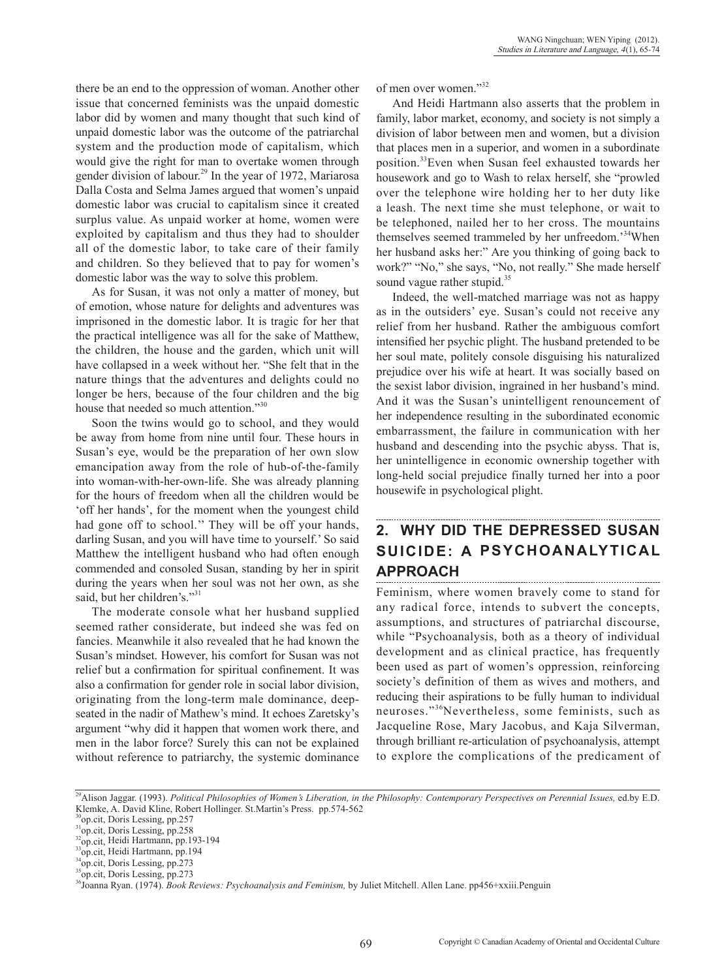there be an end to the oppression of woman. Another other issue that concerned feminists was the unpaid domestic labor did by women and many thought that such kind of unpaid domestic labor was the outcome of the patriarchal system and the production mode of capitalism, which would give the right for man to overtake women through gender division of labour.<sup>29</sup> In the year of 1972, Mariarosa Dalla Costa and Selma James argued that women's unpaid domestic labor was crucial to capitalism since it created surplus value. As unpaid worker at home, women were exploited by capitalism and thus they had to shoulder all of the domestic labor, to take care of their family and children. So they believed that to pay for women's domestic labor was the way to solve this problem.

As for Susan, it was not only a matter of money, but of emotion, whose nature for delights and adventures was imprisoned in the domestic labor. It is tragic for her that the practical intelligence was all for the sake of Matthew, the children, the house and the garden, which unit will have collapsed in a week without her. "She felt that in the nature things that the adventures and delights could no longer be hers, because of the four children and the big house that needed so much attention."<sup>30</sup>

Soon the twins would go to school, and they would be away from home from nine until four. These hours in Susan's eye, would be the preparation of her own slow emancipation away from the role of hub-of-the-family into woman-with-her-own-life. She was already planning for the hours of freedom when all the children would be 'off her hands', for the moment when the youngest child had gone off to school." They will be off your hands, darling Susan, and you will have time to yourself.' So said Matthew the intelligent husband who had often enough commended and consoled Susan, standing by her in spirit during the years when her soul was not her own, as she said, but her children's."<sup>31</sup>

The moderate console what her husband supplied seemed rather considerate, but indeed she was fed on fancies. Meanwhile it also revealed that he had known the Susan's mindset. However, his comfort for Susan was not relief but a confirmation for spiritual confinement. It was also a confirmation for gender role in social labor division, originating from the long-term male dominance, deepseated in the nadir of Mathew's mind. It echoes Zaretsky's argument "why did it happen that women work there, and men in the labor force? Surely this can not be explained without reference to patriarchy, the systemic dominance

of men over women."32

And Heidi Hartmann also asserts that the problem in family, labor market, economy, and society is not simply a division of labor between men and women, but a division that places men in a superior, and women in a subordinate position.33Even when Susan feel exhausted towards her housework and go to Wash to relax herself, she "prowled over the telephone wire holding her to her duty like a leash. The next time she must telephone, or wait to be telephoned, nailed her to her cross. The mountains themselves seemed trammeled by her unfreedom.'34When her husband asks her:" Are you thinking of going back to work?" "No," she says, "No, not really." She made herself sound vague rather stupid.<sup>35</sup>

Indeed, the well-matched marriage was not as happy as in the outsiders' eye. Susan's could not receive any relief from her husband. Rather the ambiguous comfort intensified her psychic plight. The husband pretended to be her soul mate, politely console disguising his naturalized prejudice over his wife at heart. It was socially based on the sexist labor division, ingrained in her husband's mind. And it was the Susan's unintelligent renouncement of her independence resulting in the subordinated economic embarrassment, the failure in communication with her husband and descending into the psychic abyss. That is, her unintelligence in economic ownership together with long-held social prejudice finally turned her into a poor housewife in psychological plight.

## **2. WHY DID THE DEPRESSED SUSAN SUICIDE: A PSYCHOANALYTICAL APPROACH**

Feminism, where women bravely come to stand for any radical force, intends to subvert the concepts, assumptions, and structures of patriarchal discourse, while "Psychoanalysis, both as a theory of individual development and as clinical practice, has frequently been used as part of women's oppression, reinforcing society's definition of them as wives and mothers, and reducing their aspirations to be fully human to individual neuroses."36Nevertheless, some feminists, such as Jacqueline Rose, Mary Jacobus, and Kaja Silverman, through brilliant re-articulation of psychoanalysis, attempt to explore the complications of the predicament of

<sup>&</sup>lt;sup>29</sup>Alison Jaggar. (1993). Political Philosophies of Women's Liberation, in the Philosophy: Contemporary Perspectives on Perennial Issues, ed.by E.D. Klemke, A. David Kline, Robert Hollinger. St.Martin's Press. pp.574-562

<sup>30</sup>op.cit, Doris Lessing, pp.257

 $^{31}$ op.cit, Doris Lessing, pp.258<br> $^{32}$ op.cit, Heidi Hartmann, pp.193-194

<sup>&</sup>lt;sup>33</sup>op.cit, Heidi Hartmann, pp.194<br><sup>34</sup>op.cit, Doris Lessing, pp.273

<sup>&</sup>lt;sup>5</sup>op.cit, Doris Lessing, pp.273

<sup>36</sup>Joanna Ryan. (1974). *Book Reviews: Psychoanalysis and Feminism,* by Juliet Mitchell. Allen Lane. pp456+xxiii.Penguin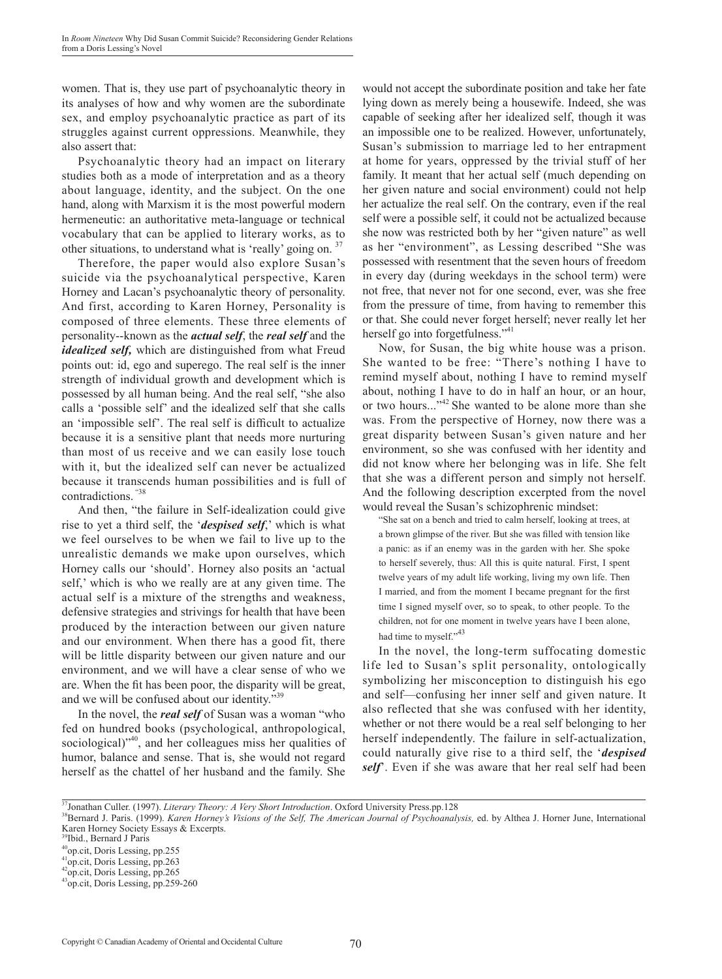women. That is, they use part of psychoanalytic theory in its analyses of how and why women are the subordinate sex, and employ psychoanalytic practice as part of its struggles against current oppressions. Meanwhile, they also assert that:

Psychoanalytic theory had an impact on literary studies both as a mode of interpretation and as a theory about language, identity, and the subject. On the one hand, along with Marxism it is the most powerful modern hermeneutic: an authoritative meta-language or technical vocabulary that can be applied to literary works, as to other situations, to understand what is 'really' going on. 37

Therefore, the paper would also explore Susan's suicide via the psychoanalytical perspective, Karen Horney and Lacan's psychoanalytic theory of personality. And first, according to Karen Horney, Personality is composed of three elements. These three elements of personality--known as the *actual self*, the *real self* and the *idealized self,* which are distinguished from what Freud points out: id, ego and superego. The real self is the inner strength of individual growth and development which is possessed by all human being. And the real self, "she also calls a 'possible self' and the idealized self that she calls an 'impossible self'. The real self is difficult to actualize because it is a sensitive plant that needs more nurturing than most of us receive and we can easily lose touch with it, but the idealized self can never be actualized because it transcends human possibilities and is full of contradictions. "38

And then, "the failure in Self-idealization could give rise to yet a third self, the '*despised self*,' which is what we feel ourselves to be when we fail to live up to the unrealistic demands we make upon ourselves, which Horney calls our 'should'. Horney also posits an 'actual self,' which is who we really are at any given time. The actual self is a mixture of the strengths and weakness, defensive strategies and strivings for health that have been produced by the interaction between our given nature and our environment. When there has a good fit, there will be little disparity between our given nature and our environment, and we will have a clear sense of who we are. When the fit has been poor, the disparity will be great, and we will be confused about our identity."39

In the novel, the *real self* of Susan was a woman "who fed on hundred books (psychological, anthropological, sociological)"<sup>40</sup>, and her colleagues miss her qualities of humor, balance and sense. That is, she would not regard herself as the chattel of her husband and the family. She

would not accept the subordinate position and take her fate lying down as merely being a housewife. Indeed, she was capable of seeking after her idealized self, though it was an impossible one to be realized. However, unfortunately, Susan's submission to marriage led to her entrapment at home for years, oppressed by the trivial stuff of her family. It meant that her actual self (much depending on her given nature and social environment) could not help her actualize the real self. On the contrary, even if the real self were a possible self, it could not be actualized because she now was restricted both by her "given nature" as well as her "environment", as Lessing described "She was possessed with resentment that the seven hours of freedom in every day (during weekdays in the school term) were not free, that never not for one second, ever, was she free from the pressure of time, from having to remember this or that. She could never forget herself; never really let her herself go into forgetfulness."<sup>41</sup>

Now, for Susan, the big white house was a prison. She wanted to be free: "There's nothing I have to remind myself about, nothing I have to remind myself about, nothing I have to do in half an hour, or an hour, or two hours..."<sup>42</sup> She wanted to be alone more than she was. From the perspective of Horney, now there was a great disparity between Susan's given nature and her environment, so she was confused with her identity and did not know where her belonging was in life. She felt that she was a different person and simply not herself. And the following description excerpted from the novel would reveal the Susan's schizophrenic mindset:

"She sat on a bench and tried to calm herself, looking at trees, at a brown glimpse of the river. But she was filled with tension like a panic: as if an enemy was in the garden with her. She spoke to herself severely, thus: All this is quite natural. First, I spent twelve years of my adult life working, living my own life. Then I married, and from the moment I became pregnant for the first time I signed myself over, so to speak, to other people. To the children, not for one moment in twelve years have I been alone, had time to myself."<sup>43</sup>

In the novel, the long-term suffocating domestic life led to Susan's split personality, ontologically symbolizing her misconception to distinguish his ego and self—confusing her inner self and given nature. It also reflected that she was confused with her identity, whether or not there would be a real self belonging to her herself independently. The failure in self-actualization, could naturally give rise to a third self, the '*despised self*'. Even if she was aware that her real self had been

<sup>&</sup>lt;sup>37</sup>Jonathan Culler. (1997). *Literary Theory: A Very Short Introduction*. Oxford University Press.pp.128<br><sup>38</sup>Bernard J. Paris. (1999). *Karen Horney's Visions of the Self, The American Journal of Psychoanalysis*, ed. by A Karen Horney Society Essays & Excerpts.

<sup>39</sup>Ibid., Bernard J Paris

<sup>&</sup>lt;sup>40</sup>op.cit, Doris Lessing, pp.255

<sup>&</sup>lt;sup>41</sup>op.cit, Doris Lessing, pp.263 <sup>42</sup>op.cit, Doris Lessing, pp.265

<sup>43</sup>op.cit, Doris Lessing, pp.259-260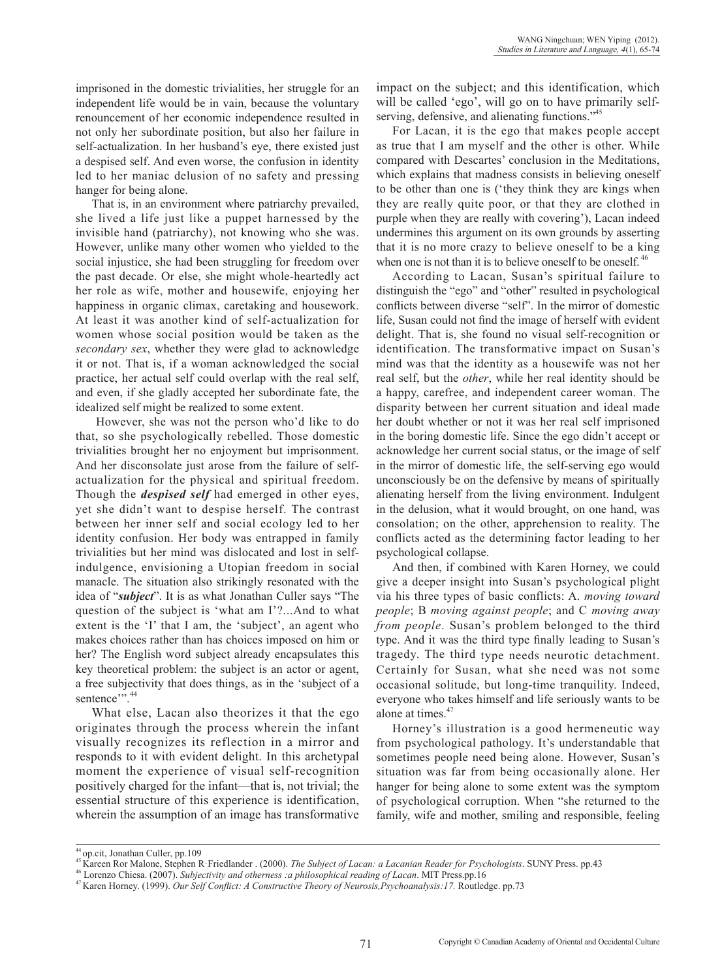imprisoned in the domestic trivialities, her struggle for an independent life would be in vain, because the voluntary renouncement of her economic independence resulted in not only her subordinate position, but also her failure in self-actualization. In her husband's eye, there existed just a despised self. And even worse, the confusion in identity led to her maniac delusion of no safety and pressing hanger for being alone.

That is, in an environment where patriarchy prevailed, she lived a life just like a puppet harnessed by the invisible hand (patriarchy), not knowing who she was. However, unlike many other women who yielded to the social injustice, she had been struggling for freedom over the past decade. Or else, she might whole-heartedly act her role as wife, mother and housewife, enjoying her happiness in organic climax, caretaking and housework. At least it was another kind of self-actualization for women whose social position would be taken as the *secondary sex*, whether they were glad to acknowledge it or not. That is, if a woman acknowledged the social practice, her actual self could overlap with the real self, and even, if she gladly accepted her subordinate fate, the idealized self might be realized to some extent.

 However, she was not the person who'd like to do that, so she psychologically rebelled. Those domestic trivialities brought her no enjoyment but imprisonment. And her disconsolate just arose from the failure of selfactualization for the physical and spiritual freedom. Though the *despised self* had emerged in other eyes, yet she didn't want to despise herself. The contrast between her inner self and social ecology led to her identity confusion. Her body was entrapped in family trivialities but her mind was dislocated and lost in selfindulgence, envisioning a Utopian freedom in social manacle. The situation also strikingly resonated with the idea of "*subject*". It is as what Jonathan Culler says "The question of the subject is 'what am I'?...And to what extent is the 'I' that I am, the 'subject', an agent who makes choices rather than has choices imposed on him or her? The English word subject already encapsulates this key theoretical problem: the subject is an actor or agent, a free subjectivity that does things, as in the 'subject of a sentence". 44

What else, Lacan also theorizes it that the ego originates through the process wherein the infant visually recognizes its reflection in a mirror and responds to it with evident delight. In this archetypal moment the experience of visual self-recognition positively charged for the infant—that is, not trivial; the essential structure of this experience is identification, wherein the assumption of an image has transformative impact on the subject; and this identification, which will be called 'ego', will go on to have primarily selfserving, defensive, and alienating functions."<sup>45</sup>

For Lacan, it is the ego that makes people accept as true that I am myself and the other is other. While compared with Descartes' conclusion in the Meditations, which explains that madness consists in believing oneself to be other than one is ('they think they are kings when they are really quite poor, or that they are clothed in purple when they are really with covering'), Lacan indeed undermines this argument on its own grounds by asserting that it is no more crazy to believe oneself to be a king when one is not than it is to believe oneself to be oneself.<sup>46</sup>

According to Lacan, Susan's spiritual failure to distinguish the "ego" and "other" resulted in psychological conflicts between diverse "self". In the mirror of domestic life, Susan could not find the image of herself with evident delight. That is, she found no visual self-recognition or identification. The transformative impact on Susan's mind was that the identity as a housewife was not her real self, but the *other*, while her real identity should be a happy, carefree, and independent career woman. The disparity between her current situation and ideal made her doubt whether or not it was her real self imprisoned in the boring domestic life. Since the ego didn't accept or acknowledge her current social status, or the image of self in the mirror of domestic life, the self-serving ego would unconsciously be on the defensive by means of spiritually alienating herself from the living environment. Indulgent in the delusion, what it would brought, on one hand, was consolation; on the other, apprehension to reality. The conflicts acted as the determining factor leading to her psychological collapse.

And then, if combined with Karen Horney, we could give a deeper insight into Susan's psychological plight via his three types of basic conflicts: A. *moving toward people*; B *moving against people*; and C *moving away from people*. Susan's problem belonged to the third type. And it was the third type finally leading to Susan's tragedy. The third type needs neurotic detachment. Certainly for Susan, what she need was not some occasional solitude, but long-time tranquility. Indeed, everyone who takes himself and life seriously wants to be alone at times.<sup>47</sup>

Horney's illustration is a good hermeneutic way from psychological pathology. It's understandable that sometimes people need being alone. However, Susan's situation was far from being occasionally alone. Her hanger for being alone to some extent was the symptom of psychological corruption. When "she returned to the family, wife and mother, smiling and responsible, feeling

<sup>&</sup>lt;sup>44</sup> op.cit, Jonathan Culler, pp.109<br><sup>45</sup> Kareen Ror Malone, Stephen R·Friedlander . (2000). *The Subject of Lacan: a Lacanian Reader for Psychologists*. SUNY Press. pp.43<br><sup>46</sup> Lorenzo Chiesa. (2007). *Subjectivity and oth*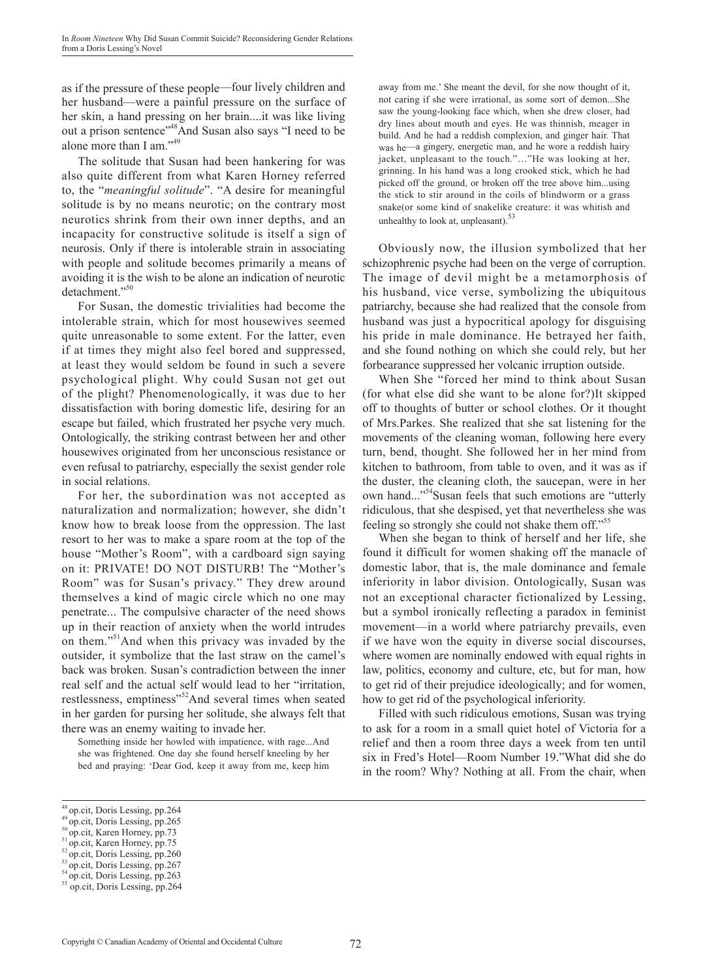as if the pressure of these people—four lively children and her husband—were a painful pressure on the surface of her skin, a hand pressing on her brain....it was like living out a prison sentence"48And Susan also says "I need to be alone more than I am."<sup>49</sup>

The solitude that Susan had been hankering for was also quite different from what Karen Horney referred to, the "*meaningful solitude*". "A desire for meaningful solitude is by no means neurotic; on the contrary most neurotics shrink from their own inner depths, and an incapacity for constructive solitude is itself a sign of neurosis. Only if there is intolerable strain in associating with people and solitude becomes primarily a means of avoiding it is the wish to be alone an indication of neurotic detachment."<sup>50</sup>

For Susan, the domestic trivialities had become the intolerable strain, which for most housewives seemed quite unreasonable to some extent. For the latter, even if at times they might also feel bored and suppressed, at least they would seldom be found in such a severe psychological plight. Why could Susan not get out of the plight? Phenomenologically, it was due to her dissatisfaction with boring domestic life, desiring for an escape but failed, which frustrated her psyche very much. Ontologically, the striking contrast between her and other housewives originated from her unconscious resistance or even refusal to patriarchy, especially the sexist gender role in social relations.

For her, the subordination was not accepted as naturalization and normalization; however, she didn't know how to break loose from the oppression. The last resort to her was to make a spare room at the top of the house "Mother's Room", with a cardboard sign saying on it: PRIVATE! DO NOT DISTURB! The "Mother's Room" was for Susan's privacy." They drew around themselves a kind of magic circle which no one may penetrate... The compulsive character of the need shows up in their reaction of anxiety when the world intrudes on them."51And when this privacy was invaded by the outsider, it symbolize that the last straw on the camel's back was broken. Susan's contradiction between the inner real self and the actual self would lead to her "irritation, restlessness, emptiness<sup>352</sup>And several times when seated in her garden for pursing her solitude, she always felt that there was an enemy waiting to invade her.

Something inside her howled with impatience, with rage...And she was frightened. One day she found herself kneeling by her bed and praying: 'Dear God, keep it away from me, keep him away from me.' She meant the devil, for she now thought of it, not caring if she were irrational, as some sort of demon...She saw the young-looking face which, when she drew closer, had dry lines about mouth and eyes. He was thinnish, meager in build. And he had a reddish complexion, and ginger hair. That was he—a gingery, energetic man, and he wore a reddish hairy jacket, unpleasant to the touch."…"He was looking at her, grinning. In his hand was a long crooked stick, which he had picked off the ground, or broken off the tree above him...using the stick to stir around in the coils of blindworm or a grass snake(or some kind of snakelike creature: it was whitish and unhealthy to look at, unpleasant).<sup>53</sup>

Obviously now, the illusion symbolized that her schizophrenic psyche had been on the verge of corruption. The image of devil might be a metamorphosis of his husband, vice verse, symbolizing the ubiquitous patriarchy, because she had realized that the console from husband was just a hypocritical apology for disguising his pride in male dominance. He betrayed her faith, and she found nothing on which she could rely, but her forbearance suppressed her volcanic irruption outside.

When She "forced her mind to think about Susan (for what else did she want to be alone for?)It skipped off to thoughts of butter or school clothes. Or it thought of Mrs.Parkes. She realized that she sat listening for the movements of the cleaning woman, following here every turn, bend, thought. She followed her in her mind from kitchen to bathroom, from table to oven, and it was as if the duster, the cleaning cloth, the saucepan, were in her own hand..."54Susan feels that such emotions are "utterly ridiculous, that she despised, yet that nevertheless she was feeling so strongly she could not shake them off."<sup>55</sup>

When she began to think of herself and her life, she found it difficult for women shaking off the manacle of domestic labor, that is, the male dominance and female inferiority in labor division. Ontologically, Susan was not an exceptional character fictionalized by Lessing, but a symbol ironically reflecting a paradox in feminist movement—in a world where patriarchy prevails, even if we have won the equity in diverse social discourses, where women are nominally endowed with equal rights in law, politics, economy and culture, etc, but for man, how to get rid of their prejudice ideologically; and for women, how to get rid of the psychological inferiority.

Filled with such ridiculous emotions, Susan was trying to ask for a room in a small quiet hotel of Victoria for a relief and then a room three days a week from ten until six in Fred's Hotel—Room Number 19."What did she do in the room? Why? Nothing at all. From the chair, when

- 
- 

<sup>&</sup>lt;sup>48</sup> op.cit, Doris Lessing, pp.264<br><sup>49</sup> op.cit, Doris Lessing, pp.265<br><sup>50</sup> op.cit, Karen Horney, pp.73<br><sup>51</sup> op.cit, Karen Horney, pp.75<br><sup>52</sup> op.cit, Doris Lessing, pp.260<br><sup>53</sup> op.cit, Doris Lessing, pp.267<br><sup>54</sup> op.cit, Do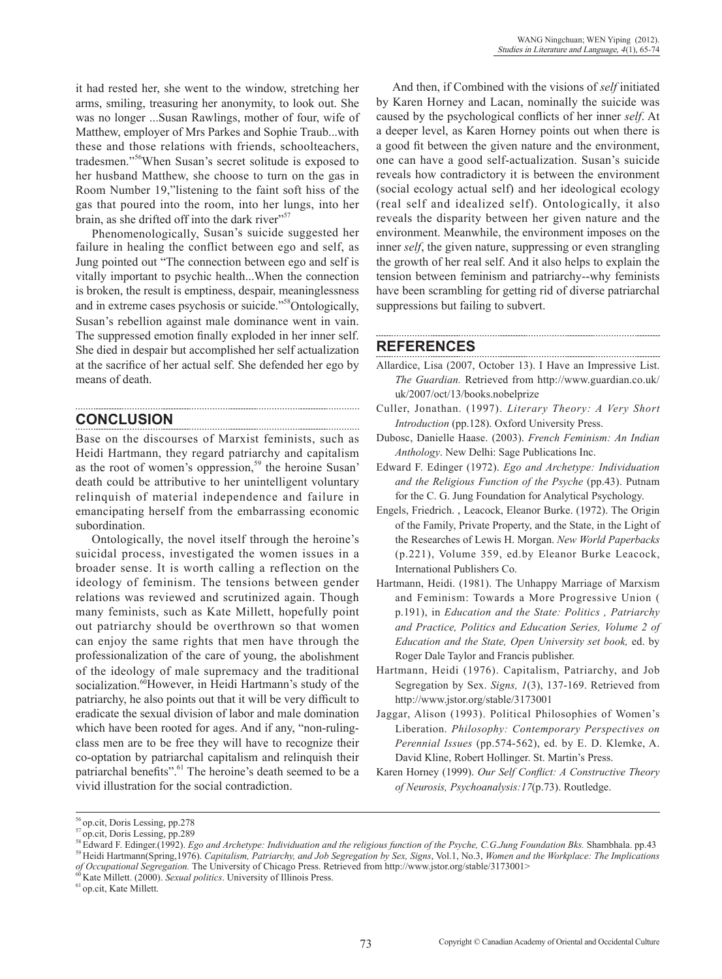it had rested her, she went to the window, stretching her arms, smiling, treasuring her anonymity, to look out. She was no longer ...Susan Rawlings, mother of four, wife of Matthew, employer of Mrs Parkes and Sophie Traub...with these and those relations with friends, schoolteachers, tradesmen."56When Susan's secret solitude is exposed to her husband Matthew, she choose to turn on the gas in Room Number 19,"listening to the faint soft hiss of the gas that poured into the room, into her lungs, into her brain, as she drifted off into the dark river"<sup>57</sup>

Phenomenologically, Susan's suicide suggested her failure in healing the conflict between ego and self, as Jung pointed out "The connection between ego and self is vitally important to psychic health...When the connection is broken, the result is emptiness, despair, meaninglessness and in extreme cases psychosis or suicide."<sup>58</sup>Ontologically, Susan's rebellion against male dominance went in vain. The suppressed emotion finally exploded in her inner self. She died in despair but accomplished her self actualization at the sacrifice of her actual self. She defended her ego by means of death.

## **CONCLUSION**

Base on the discourses of Marxist feminists, such as Heidi Hartmann, they regard patriarchy and capitalism as the root of women's oppression,<sup>59</sup> the heroine Susan' death could be attributive to her unintelligent voluntary relinquish of material independence and failure in emancipating herself from the embarrassing economic subordination.

Ontologically, the novel itself through the heroine's suicidal process, investigated the women issues in a broader sense. It is worth calling a reflection on the ideology of feminism. The tensions between gender relations was reviewed and scrutinized again. Though many feminists, such as Kate Millett, hopefully point out patriarchy should be overthrown so that women can enjoy the same rights that men have through the professionalization of the care of young, the abolishment of the ideology of male supremacy and the traditional socialization.<sup>60</sup>However, in Heidi Hartmann's study of the patriarchy, he also points out that it will be very difficult to eradicate the sexual division of labor and male domination which have been rooted for ages. And if any, "non-rulingclass men are to be free they will have to recognize their co-optation by patriarchal capitalism and relinquish their patriarchal benefits".<sup>61</sup> The heroine's death seemed to be a vivid illustration for the social contradiction.

And then, if Combined with the visions of *self* initiated by Karen Horney and Lacan, nominally the suicide was caused by the psychological conflicts of her inner *self*. At a deeper level, as Karen Horney points out when there is a good fit between the given nature and the environment, one can have a good self-actualization. Susan's suicide reveals how contradictory it is between the environment (social ecology actual self) and her ideological ecology (real self and idealized self). Ontologically, it also reveals the disparity between her given nature and the environment. Meanwhile, the environment imposes on the inner *self*, the given nature, suppressing or even strangling the growth of her real self. And it also helps to explain the tension between feminism and patriarchy--why feminists have been scrambling for getting rid of diverse patriarchal suppressions but failing to subvert.

## **REFERENCES**

- Allardice, Lisa (2007, October 13). I Have an Impressive List. *The Guardian.* Retrieved from http://www.guardian.co.uk/ uk/2007/oct/13/books.nobelprize
- Culler, Jonathan. (1997). *Literary Theory: A Very Short Introduction* (pp.128). Oxford University Press.
- Dubosc, Danielle Haase. (2003). *French Feminism: An Indian Anthology*. New Delhi: Sage Publications Inc.
- Edward F. Edinger (1972). *Ego and Archetype: Individuation and the Religious Function of the Psyche* (pp.43). Putnam for the C. G. Jung Foundation for Analytical Psychology.
- Engels, Friedrich. , Leacock, Eleanor Burke. (1972). The Origin of the Family, Private Property, and the State, in the Light of the Researches of Lewis H. Morgan. *New World Paperbacks*  (p.221), Volume 359, ed.by Eleanor Burke Leacock, International Publishers Co.
- Hartmann, Heidi. (1981). The Unhappy Marriage of Marxism and Feminism: Towards a More Progressive Union ( p.191), in *Education and the State: Politics , Patriarchy and Practice, Politics and Education Series, Volume 2 of Education and the State, Open University set book,* ed. by Roger Dale Taylor and Francis publisher.
- Hartmann, Heidi (1976). Capitalism, Patriarchy, and Job Segregation by Sex. *Signs, 1*(3), 137-169. Retrieved from http://www.jstor.org/stable/3173001
- Jaggar, Alison (1993). Political Philosophies of Women's Liberation. *Philosophy: Contemporary Perspectives on Perennial Issues* (pp.574-562), ed. by E. D. Klemke, A. David Kline, Robert Hollinger. St. Martin's Press.
- Karen Horney (1999). *Our Self Conflict: A Constructive Theory of Neurosis, Psychoanalysis:17*(p.73). Routledge.

<sup>&</sup>lt;sup>56</sup> op.cit, Doris Lessing, pp.278<br><sup>57</sup> op.cit, Doris Lessing, pp.289<br><sup>58</sup> Edward F. Edinger.(1992). *Ego and Archetype: Individuation and the religious function of the Psyche, C.G.Jung Foundation Bks. Shambhala. pp.43<br><sup>58*</sup> *of Occupational Segregation.* The University of Chicago Press. Retrieved from http://www.jstor.org/stable/3173001><br><sup>60</sup> Kate Millett. (2000). *Sexual politics*. University of Illinois Press.<br><sup>61</sup> op.cit, Kate Millett.